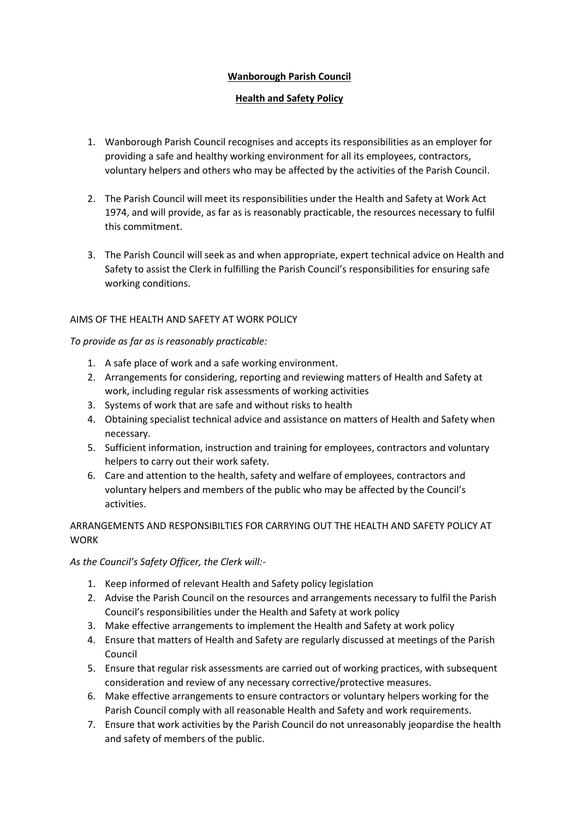## **Wanborough Parish Council**

#### **Health and Safety Policy**

- 1. Wanborough Parish Council recognises and accepts its responsibilities as an employer for providing a safe and healthy working environment for all its employees, contractors, voluntary helpers and others who may be affected by the activities of the Parish Council.
- 2. The Parish Council will meet its responsibilities under the Health and Safety at Work Act 1974, and will provide, as far as is reasonably practicable, the resources necessary to fulfil this commitment.
- 3. The Parish Council will seek as and when appropriate, expert technical advice on Health and Safety to assist the Clerk in fulfilling the Parish Council's responsibilities for ensuring safe working conditions.

## AIMS OF THE HEALTH AND SAFETY AT WORK POLICY

*To provide as far as is reasonably practicable:*

- 1. A safe place of work and a safe working environment.
- 2. Arrangements for considering, reporting and reviewing matters of Health and Safety at work, including regular risk assessments of working activities
- 3. Systems of work that are safe and without risks to health
- 4. Obtaining specialist technical advice and assistance on matters of Health and Safety when necessary.
- 5. Sufficient information, instruction and training for employees, contractors and voluntary helpers to carry out their work safety.
- 6. Care and attention to the health, safety and welfare of employees, contractors and voluntary helpers and members of the public who may be affected by the Council's activities.

# ARRANGEMENTS AND RESPONSIBILTIES FOR CARRYING OUT THE HEALTH AND SAFETY POLICY AT **WORK**

# *As the Council's Safety Officer, the Clerk will:-*

- 1. Keep informed of relevant Health and Safety policy legislation
- 2. Advise the Parish Council on the resources and arrangements necessary to fulfil the Parish Council's responsibilities under the Health and Safety at work policy
- 3. Make effective arrangements to implement the Health and Safety at work policy
- 4. Ensure that matters of Health and Safety are regularly discussed at meetings of the Parish Council
- 5. Ensure that regular risk assessments are carried out of working practices, with subsequent consideration and review of any necessary corrective/protective measures.
- 6. Make effective arrangements to ensure contractors or voluntary helpers working for the Parish Council comply with all reasonable Health and Safety and work requirements.
- 7. Ensure that work activities by the Parish Council do not unreasonably jeopardise the health and safety of members of the public.